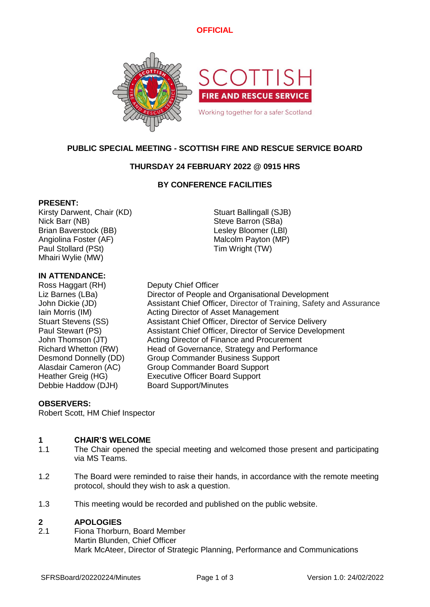# **OFFICIAL**



# **PUBLIC SPECIAL MEETING - SCOTTISH FIRE AND RESCUE SERVICE BOARD**

# **THURSDAY 24 FEBRUARY 2022 @ 0915 HRS**

## **BY CONFERENCE FACILITIES**

### **PRESENT:**

Kirsty Darwent, Chair (KD) Stuart Ballingall (SJB) Nick Barr (NB) Steve Barron (SBa) Brian Baverstock (BB) Lesley Bloomer (LBl) Angiolina Foster (AF) Malcolm Payton (MP) Paul Stollard (PSt) Tim Wright (TW) Mhairi Wylie (MW)

## **IN ATTENDANCE:**

Ross Haggart (RH) Deputy Chief Officer Debbie Haddow (DJH) Board Support/Minutes

Liz Barnes (LBa) Director of People and Organisational Development John Dickie (JD) Assistant Chief Officer, Director of Training, Safety and Assurance Iain Morris (IM) **Acting Director of Asset Management** Stuart Stevens (SS) Assistant Chief Officer, Director of Service Delivery Paul Stewart (PS) Assistant Chief Officer, Director of Service Development John Thomson (JT) Acting Director of Finance and Procurement Richard Whetton (RW) Head of Governance, Strategy and Performance Desmond Donnelly (DD) Group Commander Business Support Alasdair Cameron (AC) Group Commander Board Support Heather Greig (HG) Executive Officer Board Support

## **OBSERVERS:**

Robert Scott, HM Chief Inspector

### **1 CHAIR'S WELCOME**

- 1.1 The Chair opened the special meeting and welcomed those present and participating via MS Teams.
- 1.2 The Board were reminded to raise their hands, in accordance with the remote meeting protocol, should they wish to ask a question.
- 1.3 This meeting would be recorded and published on the public website.

#### **2 APOLOGIES**

2.1 Fiona Thorburn, Board Member Martin Blunden, Chief Officer Mark McAteer, Director of Strategic Planning, Performance and Communications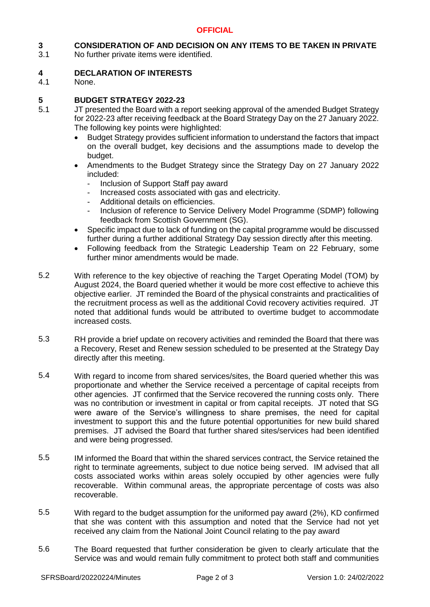### **3 CONSIDERATION OF AND DECISION ON ANY ITEMS TO BE TAKEN IN PRIVATE**

3.1 No further private items were identified.

#### **4 DECLARATION OF INTERESTS**

4.1 None.

#### **5 BUDGET STRATEGY 2022-23**

- 5.1 JT presented the Board with a report seeking approval of the amended Budget Strategy for 2022-23 after receiving feedback at the Board Strategy Day on the 27 January 2022. The following key points were highlighted:
	- Budget Strategy provides sufficient information to understand the factors that impact on the overall budget, key decisions and the assumptions made to develop the budget.
	- Amendments to the Budget Strategy since the Strategy Day on 27 January 2022 included:
		- Inclusion of Support Staff pay award
		- Increased costs associated with gas and electricity.
		- Additional details on efficiencies.
		- Inclusion of reference to Service Delivery Model Programme (SDMP) following feedback from Scottish Government (SG).
	- Specific impact due to lack of funding on the capital programme would be discussed further during a further additional Strategy Day session directly after this meeting.
	- Following feedback from the Strategic Leadership Team on 22 February, some further minor amendments would be made.
- 5.2 With reference to the key objective of reaching the Target Operating Model (TOM) by August 2024, the Board queried whether it would be more cost effective to achieve this objective earlier. JT reminded the Board of the physical constraints and practicalities of the recruitment process as well as the additional Covid recovery activities required. JT noted that additional funds would be attributed to overtime budget to accommodate increased costs.
- 5.3 RH provide a brief update on recovery activities and reminded the Board that there was a Recovery, Reset and Renew session scheduled to be presented at the Strategy Day directly after this meeting.
- 5.4 With regard to income from shared services/sites, the Board queried whether this was proportionate and whether the Service received a percentage of capital receipts from other agencies. JT confirmed that the Service recovered the running costs only. There was no contribution or investment in capital or from capital receipts. JT noted that SG were aware of the Service's willingness to share premises, the need for capital investment to support this and the future potential opportunities for new build shared premises. JT advised the Board that further shared sites/services had been identified and were being progressed.
- 5.5 IM informed the Board that within the shared services contract, the Service retained the right to terminate agreements, subject to due notice being served. IM advised that all costs associated works within areas solely occupied by other agencies were fully recoverable. Within communal areas, the appropriate percentage of costs was also recoverable.
- 5.5 With regard to the budget assumption for the uniformed pay award (2%), KD confirmed that she was content with this assumption and noted that the Service had not yet received any claim from the National Joint Council relating to the pay award
- 5.6 The Board requested that further consideration be given to clearly articulate that the Service was and would remain fully commitment to protect both staff and communities